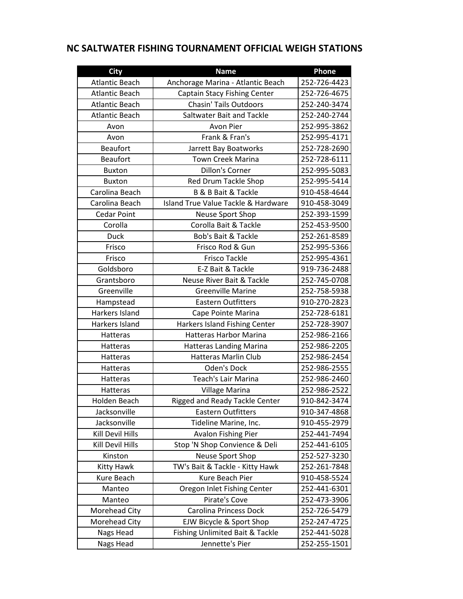## **NC SALTWATER FISHING TOURNAMENT OFFICIAL WEIGH STATIONS**

| <b>City</b>           | <b>Name</b>                          | Phone        |
|-----------------------|--------------------------------------|--------------|
| <b>Atlantic Beach</b> | Anchorage Marina - Atlantic Beach    | 252-726-4423 |
| <b>Atlantic Beach</b> | <b>Captain Stacy Fishing Center</b>  | 252-726-4675 |
| <b>Atlantic Beach</b> | <b>Chasin' Tails Outdoors</b>        | 252-240-3474 |
| <b>Atlantic Beach</b> | Saltwater Bait and Tackle            | 252-240-2744 |
| Avon                  | Avon Pier                            | 252-995-3862 |
| Avon                  | Frank & Fran's                       | 252-995-4171 |
| <b>Beaufort</b>       | Jarrett Bay Boatworks                | 252-728-2690 |
| <b>Beaufort</b>       | <b>Town Creek Marina</b>             | 252-728-6111 |
| <b>Buxton</b>         | <b>Dillon's Corner</b>               | 252-995-5083 |
| <b>Buxton</b>         | Red Drum Tackle Shop                 | 252-995-5414 |
| Carolina Beach        | <b>B &amp; B Bait &amp; Tackle</b>   | 910-458-4644 |
| Carolina Beach        | Island True Value Tackle & Hardware  | 910-458-3049 |
| <b>Cedar Point</b>    | Neuse Sport Shop                     | 252-393-1599 |
| Corolla               | Corolla Bait & Tackle                | 252-453-9500 |
| <b>Duck</b>           | <b>Bob's Bait &amp; Tackle</b>       | 252-261-8589 |
| Frisco                | Frisco Rod & Gun                     | 252-995-5366 |
| Frisco                | <b>Frisco Tackle</b>                 | 252-995-4361 |
| Goldsboro             | E-Z Bait & Tackle                    | 919-736-2488 |
| Grantsboro            | <b>Neuse River Bait &amp; Tackle</b> | 252-745-0708 |
| Greenville            | <b>Greenville Marine</b>             | 252-758-5938 |
| Hampstead             | <b>Eastern Outfitters</b>            | 910-270-2823 |
| Harkers Island        | Cape Pointe Marina                   | 252-728-6181 |
| Harkers Island        | Harkers Island Fishing Center        | 252-728-3907 |
| Hatteras              | <b>Hatteras Harbor Marina</b>        | 252-986-2166 |
| Hatteras              | <b>Hatteras Landing Marina</b>       | 252-986-2205 |
| Hatteras              | <b>Hatteras Marlin Club</b>          | 252-986-2454 |
| Hatteras              | Oden's Dock                          | 252-986-2555 |
| Hatteras              | <b>Teach's Lair Marina</b>           | 252-986-2460 |
| Hatteras              | Village Marina                       | 252-986-2522 |
| Holden Beach          | Rigged and Ready Tackle Center       | 910-842-3474 |
| Jacksonville          | <b>Eastern Outfitters</b>            | 910-347-4868 |
| Jacksonville          | Tideline Marine, Inc.                | 910-455-2979 |
| Kill Devil Hills      | Avalon Fishing Pier                  | 252-441-7494 |
| Kill Devil Hills      | Stop 'N Shop Convience & Deli        | 252-441-6105 |
| Kinston               | <b>Neuse Sport Shop</b>              | 252-527-3230 |
| <b>Kitty Hawk</b>     | TW's Bait & Tackle - Kitty Hawk      | 252-261-7848 |
| Kure Beach            | Kure Beach Pier                      | 910-458-5524 |
| Manteo                | Oregon Inlet Fishing Center          | 252-441-6301 |
| Manteo                | Pirate's Cove                        | 252-473-3906 |
| Morehead City         | <b>Carolina Princess Dock</b>        | 252-726-5479 |
| Morehead City         | EJW Bicycle & Sport Shop             | 252-247-4725 |
| Nags Head             | Fishing Unlimited Bait & Tackle      | 252-441-5028 |
| Nags Head             | Jennette's Pier                      | 252-255-1501 |